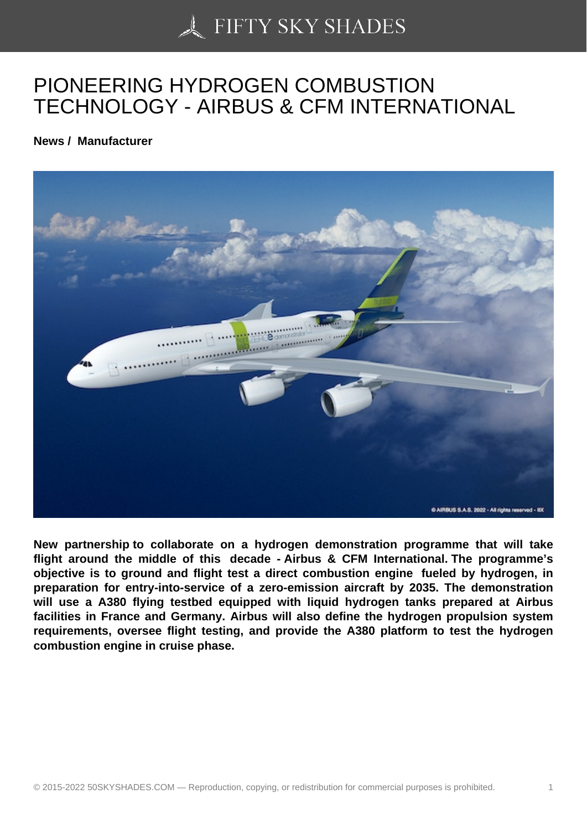## [PIONEERING HYDRO](https://50skyshades.com)GEN COMBUSTION TECHNOLOGY - AIRBUS & CFM INTERNATIONAL

News / Manufacturer

New partnership to collaborate on a hydrogen demonstration programme that will take flight around the middle of this decade - Airbus & CFM International. The programme's objective is to ground and flight test a direct combustion engine fueled by hydrogen, in preparation for entry-into-service of a zero-emission aircraft by 2035. The demonstration will use a A380 flying testbed equipped with liquid hydrogen tanks prepared at Airbus facilities in France and Germany. Airbus will also define the hydrogen propulsion system requirements, oversee flight testing, and provide the A380 platform to test the hydrogen combustion engine in cruise phase.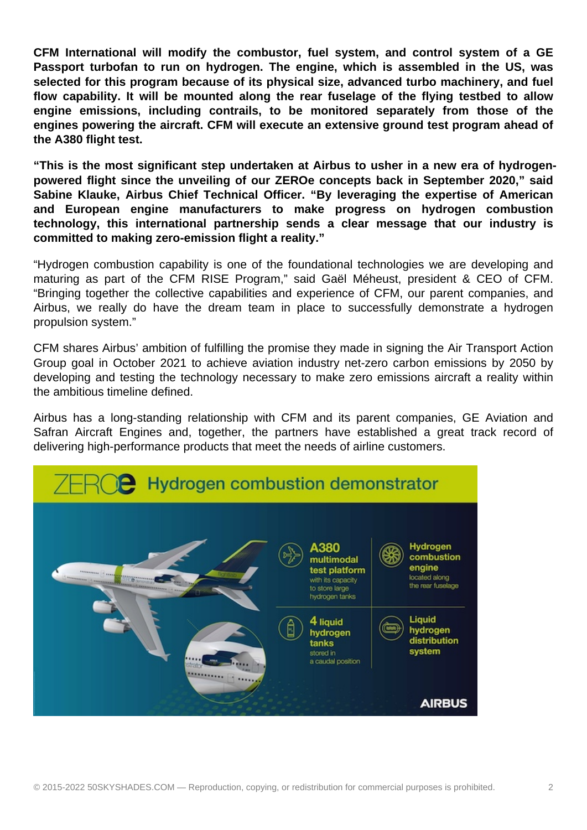**CFM International will modify the combustor, fuel system, and control system of a GE Passport turbofan to run on hydrogen. The engine, which is assembled in the US, was selected for this program because of its physical size, advanced turbo machinery, and fuel flow capability. It will be mounted along the rear fuselage of the flying testbed to allow engine emissions, including contrails, to be monitored separately from those of the engines powering the aircraft. CFM will execute an extensive ground test program ahead of the A380 flight test.**

**"This is the most significant step undertaken at Airbus to usher in a new era of hydrogenpowered flight since the unveiling of our ZEROe concepts back in September 2020," said Sabine Klauke, Airbus Chief Technical Officer. "By leveraging the expertise of American and European engine manufacturers to make progress on hydrogen combustion technology, this international partnership sends a clear message that our industry is committed to making zero-emission flight a reality."**

"Hydrogen combustion capability is one of the foundational technologies we are developing and maturing as part of the CFM RISE Program," said Gaël Méheust, president & CEO of CFM. "Bringing together the collective capabilities and experience of CFM, our parent companies, and Airbus, we really do have the dream team in place to successfully demonstrate a hydrogen propulsion system."

CFM shares Airbus' ambition of fulfilling the promise they made in signing the Air Transport Action Group goal in October 2021 to achieve aviation industry net-zero carbon emissions by 2050 by developing and testing the technology necessary to make zero emissions aircraft a reality within the ambitious timeline defined.

Airbus has a long-standing relationship with CFM and its parent companies, GE Aviation and Safran Aircraft Engines and, together, the partners have established a great track record of delivering high-performance products that meet the needs of airline customers.